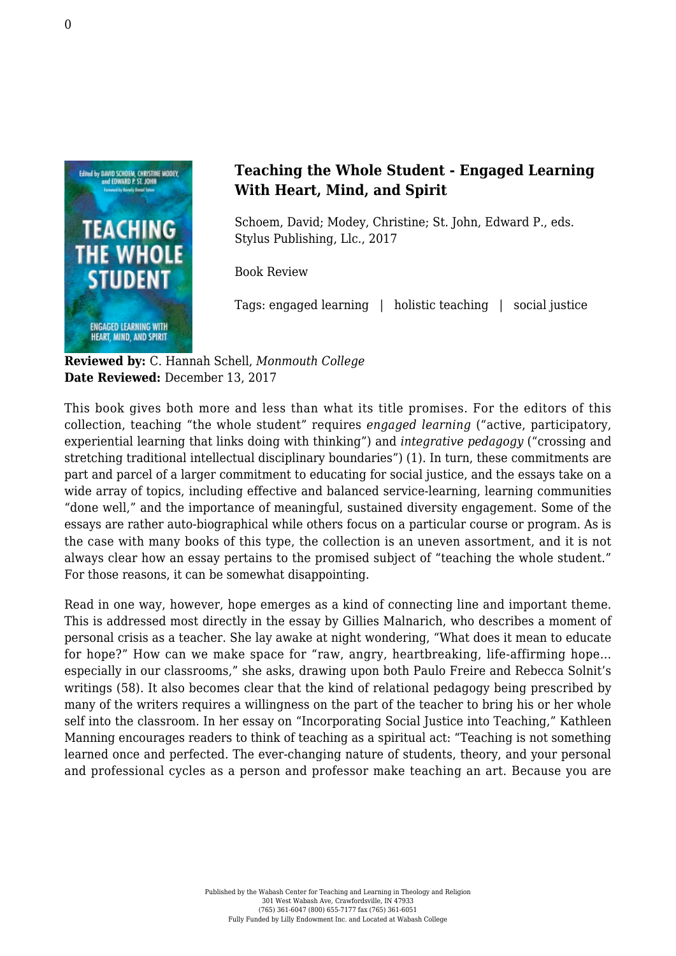

## **Teaching the Whole Student - Engaged Learning With Heart, Mind, and Spirit**

Schoem, David; Modey, Christine; St. John, Edward P., eds. [Stylus Publishing, Llc., 2017](https://sty.presswarehouse.com/books/BookDetail.aspx?productID=441418)

Book Review

Tags: engaged learning | holistic teaching | social justice

**Reviewed by:** C. Hannah Schell, *Monmouth College* **Date Reviewed:** December 13, 2017

This book gives both more and less than what its title promises. For the editors of this collection, teaching "the whole student" requires *engaged learning* ("active, participatory, experiential learning that links doing with thinking") and *integrative pedagogy* ("crossing and stretching traditional intellectual disciplinary boundaries") (1). In turn, these commitments are part and parcel of a larger commitment to educating for social justice, and the essays take on a wide array of topics, including effective and balanced service-learning, learning communities "done well," and the importance of meaningful, sustained diversity engagement. Some of the essays are rather auto-biographical while others focus on a particular course or program. As is the case with many books of this type, the collection is an uneven assortment, and it is not always clear how an essay pertains to the promised subject of "teaching the whole student." For those reasons, it can be somewhat disappointing.

Read in one way, however, hope emerges as a kind of connecting line and important theme. This is addressed most directly in the essay by Gillies Malnarich, who describes a moment of personal crisis as a teacher. She lay awake at night wondering, "What does it mean to educate for hope?" How can we make space for "raw, angry, heartbreaking, life-affirming hope… especially in our classrooms," she asks, drawing upon both Paulo Freire and Rebecca Solnit's writings (58). It also becomes clear that the kind of relational pedagogy being prescribed by many of the writers requires a willingness on the part of the teacher to bring his or her whole self into the classroom. In her essay on "Incorporating Social Justice into Teaching," Kathleen Manning encourages readers to think of teaching as a spiritual act: "Teaching is not something learned once and perfected. The ever-changing nature of students, theory, and your personal and professional cycles as a person and professor make teaching an art. Because you are